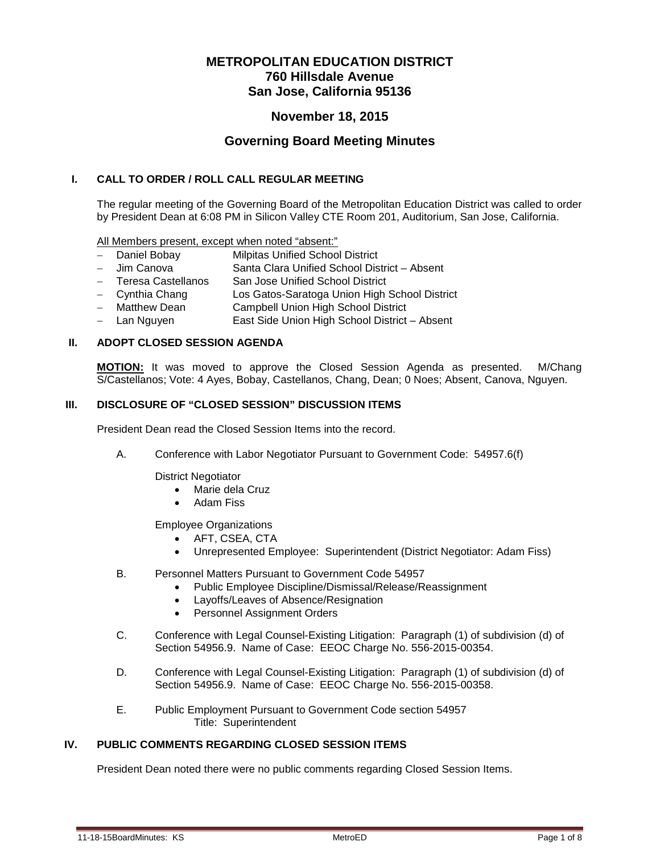# **METROPOLITAN EDUCATION DISTRICT 760 Hillsdale Avenue San Jose, California 95136**

# **November 18, 2015**

## **Governing Board Meeting Minutes**

## **I. CALL TO ORDER / ROLL CALL REGULAR MEETING**

The regular meeting of the Governing Board of the Metropolitan Education District was called to order by President Dean at 6:08 PM in Silicon Valley CTE Room 201, Auditorium, San Jose, California.

All Members present, except when noted "absent:"

- Daniel Bobay Milpitas Unified School District
- − Jim Canova Santa Clara Unified School District Absent
- − Teresa Castellanos San Jose Unified School District
- − Cynthia Chang Los Gatos-Saratoga Union High School District
- − Matthew Dean Campbell Union High School District
- − Lan Nguyen East Side Union High School District Absent

#### **II. ADOPT CLOSED SESSION AGENDA**

**MOTION:** It was moved to approve the Closed Session Agenda as presented. M/Chang S/Castellanos; Vote: 4 Ayes, Bobay, Castellanos, Chang, Dean; 0 Noes; Absent, Canova, Nguyen.

#### **III. DISCLOSURE OF "CLOSED SESSION" DISCUSSION ITEMS**

President Dean read the Closed Session Items into the record.

A. Conference with Labor Negotiator Pursuant to Government Code: 54957.6(f)

District Negotiator

- Marie dela Cruz
- Adam Fiss

Employee Organizations

- AFT, CSEA, CTA
- Unrepresented Employee: Superintendent (District Negotiator: Adam Fiss)
- B. Personnel Matters Pursuant to Government Code 54957
	- Public Employee Discipline/Dismissal/Release/Reassignment
	- Layoffs/Leaves of Absence/Resignation
	- Personnel Assignment Orders
- C. Conference with Legal Counsel-Existing Litigation: Paragraph (1) of subdivision (d) of Section 54956.9. Name of Case: EEOC Charge No. 556-2015-00354.
- D. Conference with Legal Counsel-Existing Litigation: Paragraph (1) of subdivision (d) of Section 54956.9. Name of Case: EEOC Charge No. 556-2015-00358.
- E. Public Employment Pursuant to Government Code section 54957 Title: Superintendent

## **IV. PUBLIC COMMENTS REGARDING CLOSED SESSION ITEMS**

President Dean noted there were no public comments regarding Closed Session Items.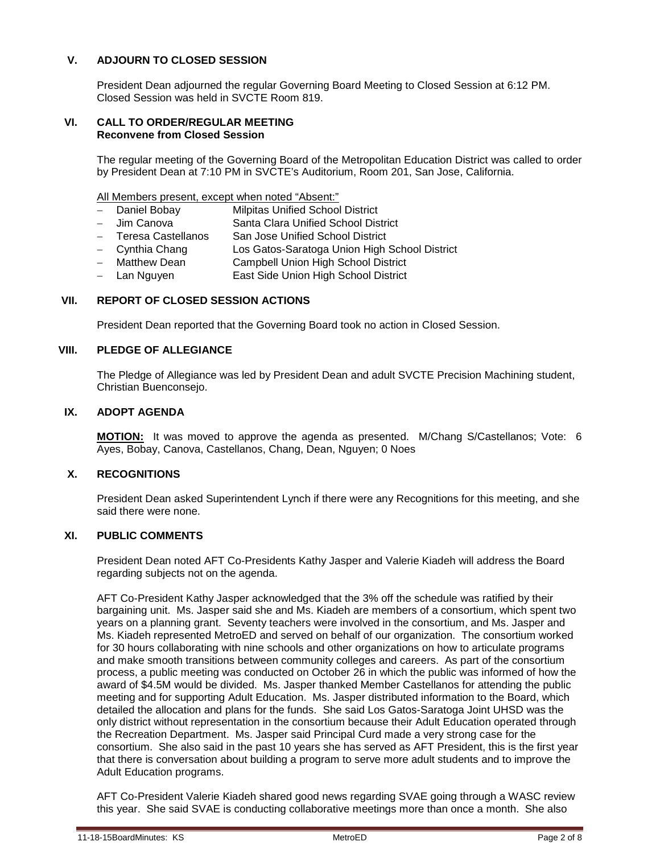## **V. ADJOURN TO CLOSED SESSION**

President Dean adjourned the regular Governing Board Meeting to Closed Session at 6:12 PM. Closed Session was held in SVCTE Room 819.

#### **VI. CALL TO ORDER/REGULAR MEETING Reconvene from Closed Session**

The regular meeting of the Governing Board of the Metropolitan Education District was called to order by President Dean at 7:10 PM in SVCTE's Auditorium, Room 201, San Jose, California.

All Members present, except when noted "Absent:"

- Daniel Bobay Milpitas Unified School District
- − Jim Canova Santa Clara Unified School District
- − Teresa Castellanos San Jose Unified School District
- − Cynthia Chang Los Gatos-Saratoga Union High School District
- − Matthew Dean Campbell Union High School District
- − Lan Nguyen East Side Union High School District

#### **VII. REPORT OF CLOSED SESSION ACTIONS**

President Dean reported that the Governing Board took no action in Closed Session.

## **VIII. PLEDGE OF ALLEGIANCE**

The Pledge of Allegiance was led by President Dean and adult SVCTE Precision Machining student, Christian Buenconsejo.

### **IX. ADOPT AGENDA**

**MOTION:** It was moved to approve the agenda as presented. M/Chang S/Castellanos; Vote: 6 Ayes, Bobay, Canova, Castellanos, Chang, Dean, Nguyen; 0 Noes

## **X. RECOGNITIONS**

President Dean asked Superintendent Lynch if there were any Recognitions for this meeting, and she said there were none.

#### **XI. PUBLIC COMMENTS**

President Dean noted AFT Co-Presidents Kathy Jasper and Valerie Kiadeh will address the Board regarding subjects not on the agenda.

AFT Co-President Kathy Jasper acknowledged that the 3% off the schedule was ratified by their bargaining unit. Ms. Jasper said she and Ms. Kiadeh are members of a consortium, which spent two years on a planning grant. Seventy teachers were involved in the consortium, and Ms. Jasper and Ms. Kiadeh represented MetroED and served on behalf of our organization. The consortium worked for 30 hours collaborating with nine schools and other organizations on how to articulate programs and make smooth transitions between community colleges and careers. As part of the consortium process, a public meeting was conducted on October 26 in which the public was informed of how the award of \$4.5M would be divided. Ms. Jasper thanked Member Castellanos for attending the public meeting and for supporting Adult Education. Ms. Jasper distributed information to the Board, which detailed the allocation and plans for the funds. She said Los Gatos-Saratoga Joint UHSD was the only district without representation in the consortium because their Adult Education operated through the Recreation Department. Ms. Jasper said Principal Curd made a very strong case for the consortium. She also said in the past 10 years she has served as AFT President, this is the first year that there is conversation about building a program to serve more adult students and to improve the Adult Education programs.

AFT Co-President Valerie Kiadeh shared good news regarding SVAE going through a WASC review this year. She said SVAE is conducting collaborative meetings more than once a month. She also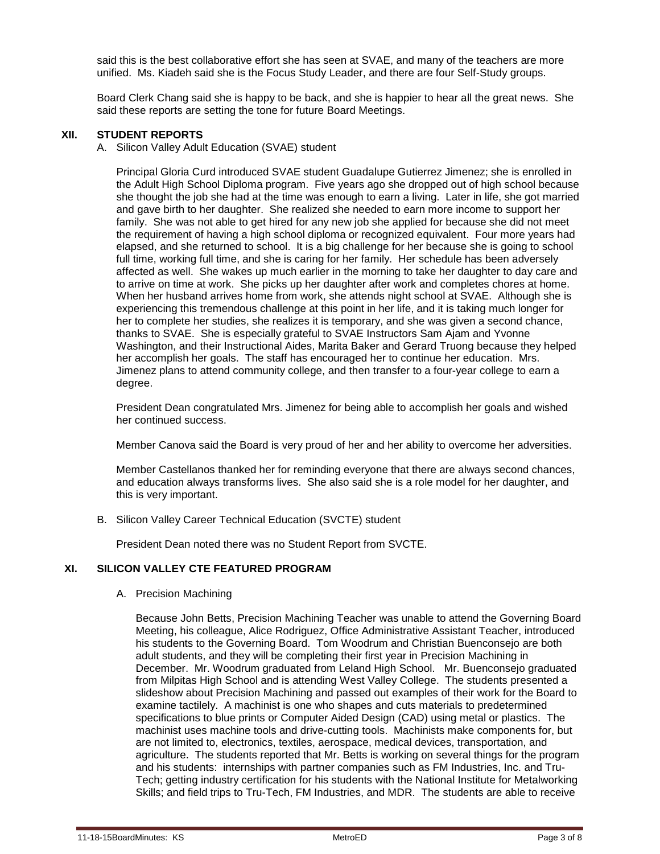said this is the best collaborative effort she has seen at SVAE, and many of the teachers are more unified. Ms. Kiadeh said she is the Focus Study Leader, and there are four Self-Study groups.

Board Clerk Chang said she is happy to be back, and she is happier to hear all the great news. She said these reports are setting the tone for future Board Meetings.

#### **XII. STUDENT REPORTS**

A. Silicon Valley Adult Education (SVAE) student

Principal Gloria Curd introduced SVAE student Guadalupe Gutierrez Jimenez; she is enrolled in the Adult High School Diploma program. Five years ago she dropped out of high school because she thought the job she had at the time was enough to earn a living. Later in life, she got married and gave birth to her daughter. She realized she needed to earn more income to support her family. She was not able to get hired for any new job she applied for because she did not meet the requirement of having a high school diploma or recognized equivalent. Four more years had elapsed, and she returned to school. It is a big challenge for her because she is going to school full time, working full time, and she is caring for her family. Her schedule has been adversely affected as well. She wakes up much earlier in the morning to take her daughter to day care and to arrive on time at work. She picks up her daughter after work and completes chores at home. When her husband arrives home from work, she attends night school at SVAE. Although she is experiencing this tremendous challenge at this point in her life, and it is taking much longer for her to complete her studies, she realizes it is temporary, and she was given a second chance, thanks to SVAE. She is especially grateful to SVAE Instructors Sam Ajam and Yvonne Washington, and their Instructional Aides, Marita Baker and Gerard Truong because they helped her accomplish her goals. The staff has encouraged her to continue her education. Mrs. Jimenez plans to attend community college, and then transfer to a four-year college to earn a degree.

President Dean congratulated Mrs. Jimenez for being able to accomplish her goals and wished her continued success.

Member Canova said the Board is very proud of her and her ability to overcome her adversities.

Member Castellanos thanked her for reminding everyone that there are always second chances, and education always transforms lives. She also said she is a role model for her daughter, and this is very important.

B. Silicon Valley Career Technical Education (SVCTE) student

President Dean noted there was no Student Report from SVCTE.

## **XI. SILICON VALLEY CTE FEATURED PROGRAM**

#### A. Precision Machining

Because John Betts, Precision Machining Teacher was unable to attend the Governing Board Meeting, his colleague, Alice Rodriguez, Office Administrative Assistant Teacher, introduced his students to the Governing Board. Tom Woodrum and Christian Buenconsejo are both adult students, and they will be completing their first year in Precision Machining in December. Mr. Woodrum graduated from Leland High School. Mr. Buenconsejo graduated from Milpitas High School and is attending West Valley College. The students presented a slideshow about Precision Machining and passed out examples of their work for the Board to examine tactilely. A machinist is one who shapes and cuts materials to predetermined specifications to blue prints or Computer Aided Design (CAD) using metal or plastics. The machinist uses machine tools and drive-cutting tools. Machinists make components for, but are not limited to, electronics, textiles, aerospace, medical devices, transportation, and agriculture. The students reported that Mr. Betts is working on several things for the program and his students: internships with partner companies such as FM Industries, Inc. and Tru-Tech; getting industry certification for his students with the National Institute for Metalworking Skills; and field trips to Tru-Tech, FM Industries, and MDR. The students are able to receive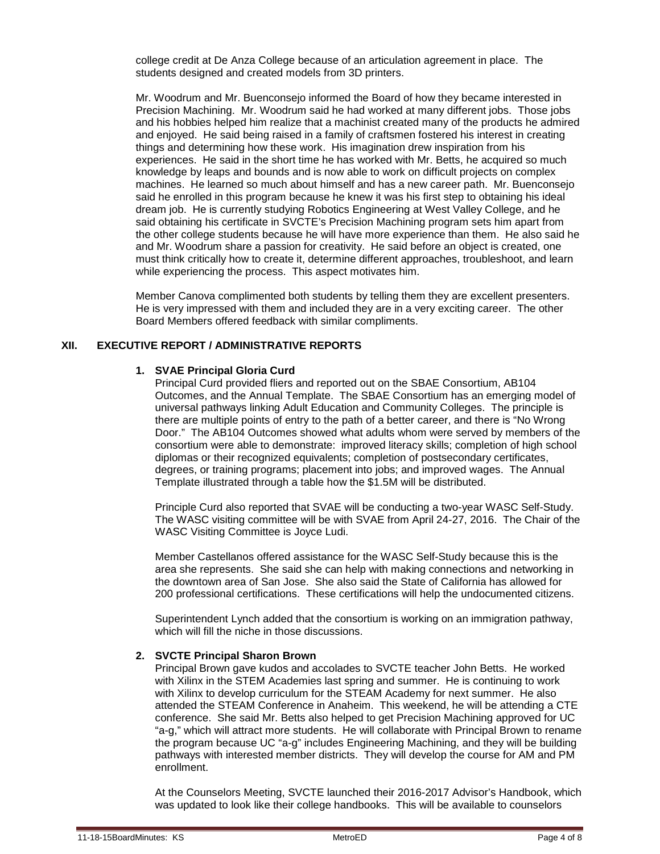college credit at De Anza College because of an articulation agreement in place. The students designed and created models from 3D printers.

Mr. Woodrum and Mr. Buenconsejo informed the Board of how they became interested in Precision Machining. Mr. Woodrum said he had worked at many different jobs. Those jobs and his hobbies helped him realize that a machinist created many of the products he admired and enjoyed. He said being raised in a family of craftsmen fostered his interest in creating things and determining how these work. His imagination drew inspiration from his experiences. He said in the short time he has worked with Mr. Betts, he acquired so much knowledge by leaps and bounds and is now able to work on difficult projects on complex machines. He learned so much about himself and has a new career path. Mr. Buenconsejo said he enrolled in this program because he knew it was his first step to obtaining his ideal dream job. He is currently studying Robotics Engineering at West Valley College, and he said obtaining his certificate in SVCTE's Precision Machining program sets him apart from the other college students because he will have more experience than them. He also said he and Mr. Woodrum share a passion for creativity. He said before an object is created, one must think critically how to create it, determine different approaches, troubleshoot, and learn while experiencing the process. This aspect motivates him.

Member Canova complimented both students by telling them they are excellent presenters. He is very impressed with them and included they are in a very exciting career. The other Board Members offered feedback with similar compliments.

## **XII. EXECUTIVE REPORT / ADMINISTRATIVE REPORTS**

#### **1. SVAE Principal Gloria Curd**

Principal Curd provided fliers and reported out on the SBAE Consortium, AB104 Outcomes, and the Annual Template. The SBAE Consortium has an emerging model of universal pathways linking Adult Education and Community Colleges. The principle is there are multiple points of entry to the path of a better career, and there is "No Wrong Door." The AB104 Outcomes showed what adults whom were served by members of the consortium were able to demonstrate: improved literacy skills; completion of high school diplomas or their recognized equivalents; completion of postsecondary certificates, degrees, or training programs; placement into jobs; and improved wages. The Annual Template illustrated through a table how the \$1.5M will be distributed.

Principle Curd also reported that SVAE will be conducting a two-year WASC Self-Study. The WASC visiting committee will be with SVAE from April 24-27, 2016. The Chair of the WASC Visiting Committee is Joyce Ludi.

Member Castellanos offered assistance for the WASC Self-Study because this is the area she represents. She said she can help with making connections and networking in the downtown area of San Jose. She also said the State of California has allowed for 200 professional certifications. These certifications will help the undocumented citizens.

Superintendent Lynch added that the consortium is working on an immigration pathway, which will fill the niche in those discussions.

#### **2. SVCTE Principal Sharon Brown**

Principal Brown gave kudos and accolades to SVCTE teacher John Betts. He worked with Xilinx in the STEM Academies last spring and summer. He is continuing to work with Xilinx to develop curriculum for the STEAM Academy for next summer. He also attended the STEAM Conference in Anaheim. This weekend, he will be attending a CTE conference. She said Mr. Betts also helped to get Precision Machining approved for UC "a-g," which will attract more students. He will collaborate with Principal Brown to rename the program because UC "a-g" includes Engineering Machining, and they will be building pathways with interested member districts. They will develop the course for AM and PM enrollment.

At the Counselors Meeting, SVCTE launched their 2016-2017 Advisor's Handbook, which was updated to look like their college handbooks. This will be available to counselors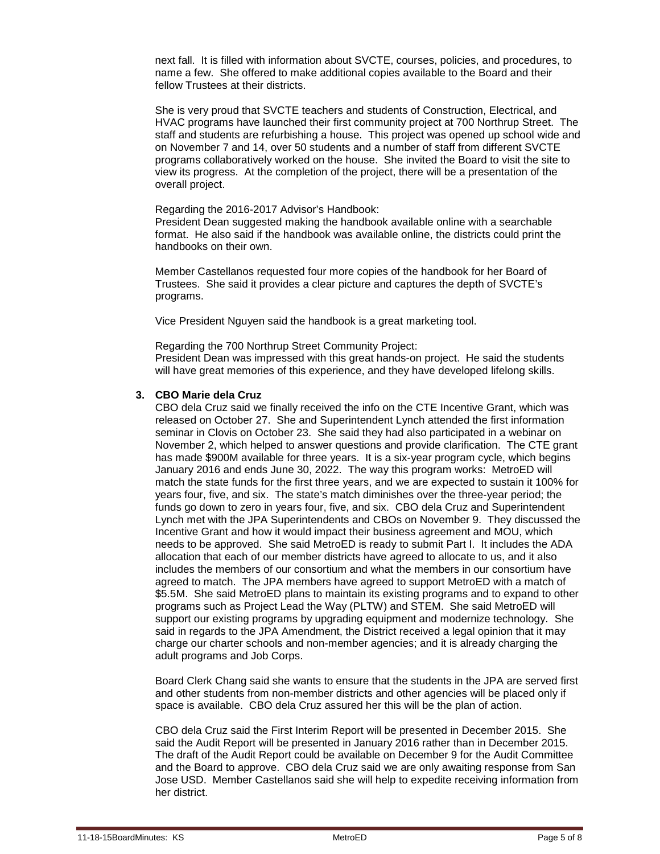next fall. It is filled with information about SVCTE, courses, policies, and procedures, to name a few. She offered to make additional copies available to the Board and their fellow Trustees at their districts.

She is very proud that SVCTE teachers and students of Construction, Electrical, and HVAC programs have launched their first community project at 700 Northrup Street. The staff and students are refurbishing a house. This project was opened up school wide and on November 7 and 14, over 50 students and a number of staff from different SVCTE programs collaboratively worked on the house. She invited the Board to visit the site to view its progress. At the completion of the project, there will be a presentation of the overall project.

#### Regarding the 2016-2017 Advisor's Handbook:

President Dean suggested making the handbook available online with a searchable format. He also said if the handbook was available online, the districts could print the handbooks on their own.

Member Castellanos requested four more copies of the handbook for her Board of Trustees. She said it provides a clear picture and captures the depth of SVCTE's programs.

Vice President Nguyen said the handbook is a great marketing tool.

Regarding the 700 Northrup Street Community Project: President Dean was impressed with this great hands-on project. He said the students will have great memories of this experience, and they have developed lifelong skills.

#### **3. CBO Marie dela Cruz**

CBO dela Cruz said we finally received the info on the CTE Incentive Grant, which was released on October 27. She and Superintendent Lynch attended the first information seminar in Clovis on October 23. She said they had also participated in a webinar on November 2, which helped to answer questions and provide clarification. The CTE grant has made \$900M available for three years. It is a six-year program cycle, which begins January 2016 and ends June 30, 2022. The way this program works: MetroED will match the state funds for the first three years, and we are expected to sustain it 100% for years four, five, and six. The state's match diminishes over the three-year period; the funds go down to zero in years four, five, and six. CBO dela Cruz and Superintendent Lynch met with the JPA Superintendents and CBOs on November 9. They discussed the Incentive Grant and how it would impact their business agreement and MOU, which needs to be approved. She said MetroED is ready to submit Part I. It includes the ADA allocation that each of our member districts have agreed to allocate to us, and it also includes the members of our consortium and what the members in our consortium have agreed to match. The JPA members have agreed to support MetroED with a match of \$5.5M. She said MetroED plans to maintain its existing programs and to expand to other programs such as Project Lead the Way (PLTW) and STEM. She said MetroED will support our existing programs by upgrading equipment and modernize technology. She said in regards to the JPA Amendment, the District received a legal opinion that it may charge our charter schools and non-member agencies; and it is already charging the adult programs and Job Corps.

Board Clerk Chang said she wants to ensure that the students in the JPA are served first and other students from non-member districts and other agencies will be placed only if space is available. CBO dela Cruz assured her this will be the plan of action.

CBO dela Cruz said the First Interim Report will be presented in December 2015. She said the Audit Report will be presented in January 2016 rather than in December 2015. The draft of the Audit Report could be available on December 9 for the Audit Committee and the Board to approve. CBO dela Cruz said we are only awaiting response from San Jose USD. Member Castellanos said she will help to expedite receiving information from her district.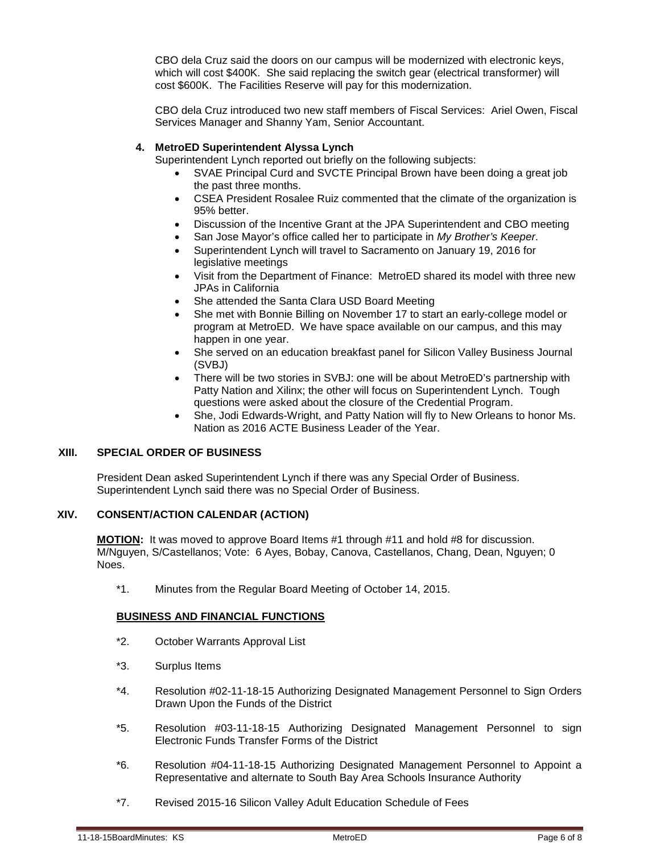CBO dela Cruz said the doors on our campus will be modernized with electronic keys, which will cost \$400K. She said replacing the switch gear (electrical transformer) will cost \$600K. The Facilities Reserve will pay for this modernization.

CBO dela Cruz introduced two new staff members of Fiscal Services: Ariel Owen, Fiscal Services Manager and Shanny Yam, Senior Accountant.

### **4. MetroED Superintendent Alyssa Lynch**

Superintendent Lynch reported out briefly on the following subjects:

- SVAE Principal Curd and SVCTE Principal Brown have been doing a great job the past three months.
- CSEA President Rosalee Ruiz commented that the climate of the organization is 95% better.
- Discussion of the Incentive Grant at the JPA Superintendent and CBO meeting
- San Jose Mayor's office called her to participate in *My Brother's Keeper*.
- Superintendent Lynch will travel to Sacramento on January 19, 2016 for legislative meetings
- Visit from the Department of Finance: MetroED shared its model with three new JPAs in California
- She attended the Santa Clara USD Board Meeting
- She met with Bonnie Billing on November 17 to start an early-college model or program at MetroED. We have space available on our campus, and this may happen in one year.
- She served on an education breakfast panel for Silicon Valley Business Journal (SVBJ)
- There will be two stories in SVBJ: one will be about MetroED's partnership with Patty Nation and Xilinx; the other will focus on Superintendent Lynch. Tough questions were asked about the closure of the Credential Program.
- She, Jodi Edwards-Wright, and Patty Nation will fly to New Orleans to honor Ms. Nation as 2016 ACTE Business Leader of the Year.

#### **XIII. SPECIAL ORDER OF BUSINESS**

President Dean asked Superintendent Lynch if there was any Special Order of Business. Superintendent Lynch said there was no Special Order of Business.

#### **XIV. CONSENT/ACTION CALENDAR (ACTION)**

**MOTION:** It was moved to approve Board Items #1 through #11 and hold #8 for discussion. M/Nguyen, S/Castellanos; Vote: 6 Ayes, Bobay, Canova, Castellanos, Chang, Dean, Nguyen; 0 Noes.

\*1. Minutes from the Regular Board Meeting of October 14, 2015.

#### **BUSINESS AND FINANCIAL FUNCTIONS**

- \*2. October Warrants Approval List
- \*3. Surplus Items
- \*4. Resolution #02-11-18-15 Authorizing Designated Management Personnel to Sign Orders Drawn Upon the Funds of the District
- \*5. Resolution #03-11-18-15 Authorizing Designated Management Personnel to sign Electronic Funds Transfer Forms of the District
- \*6. Resolution #04-11-18-15 Authorizing Designated Management Personnel to Appoint a Representative and alternate to South Bay Area Schools Insurance Authority
- \*7. Revised 2015-16 Silicon Valley Adult Education Schedule of Fees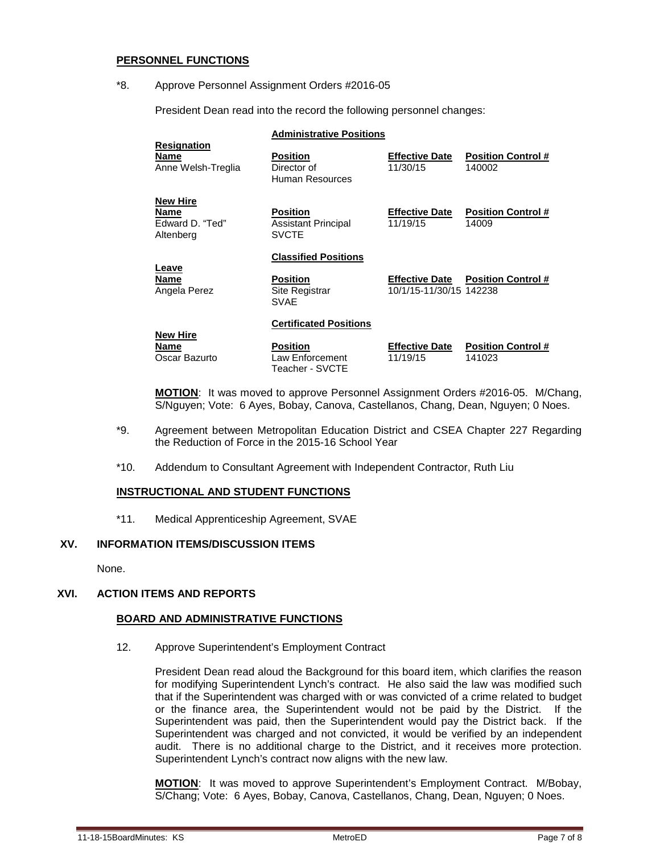#### **PERSONNEL FUNCTIONS**

\*8. Approve Personnel Assignment Orders #2016-05

President Dean read into the record the following personnel changes:

|                                                         | <b>Administrative Positions</b>                               |                                                  |                                     |  |
|---------------------------------------------------------|---------------------------------------------------------------|--------------------------------------------------|-------------------------------------|--|
| <b>Resignation</b><br>Name<br>Anne Welsh-Treglia        | <b>Position</b><br>Director of<br>Human Resources             | <b>Effective Date</b><br>11/30/15                | <b>Position Control #</b><br>140002 |  |
| <b>New Hire</b><br>Name<br>Edward D. "Ted"<br>Altenberg | <b>Position</b><br><b>Assistant Principal</b><br><b>SVCTE</b> | <b>Effective Date</b><br>11/19/15                | <b>Position Control #</b><br>14009  |  |
| Leave<br><b>Name</b><br>Angela Perez                    | <b>Classified Positions</b>                                   |                                                  |                                     |  |
|                                                         | <b>Position</b><br><b>Site Registrar</b><br><b>SVAE</b>       | <b>Effective Date</b><br>10/1/15-11/30/15 142238 | <b>Position Control #</b>           |  |
|                                                         | <b>Certificated Positions</b>                                 |                                                  |                                     |  |
| <b>New Hire</b><br>Name<br>Oscar Bazurto                | <b>Position</b><br>Law Enforcement                            | <b>Effective Date</b><br>11/19/15                | <b>Position Control #</b><br>141023 |  |

**MOTION**: It was moved to approve Personnel Assignment Orders #2016-05. M/Chang, S/Nguyen; Vote: 6 Ayes, Bobay, Canova, Castellanos, Chang, Dean, Nguyen; 0 Noes.

- \*9. Agreement between Metropolitan Education District and CSEA Chapter 227 Regarding the Reduction of Force in the 2015-16 School Year
- \*10. Addendum to Consultant Agreement with Independent Contractor, Ruth Liu

Teacher - SVCTE

#### **INSTRUCTIONAL AND STUDENT FUNCTIONS**

\*11. Medical Apprenticeship Agreement, SVAE

## **XV. INFORMATION ITEMS/DISCUSSION ITEMS**

None.

## **XVI. ACTION ITEMS AND REPORTS**

#### **BOARD AND ADMINISTRATIVE FUNCTIONS**

12. Approve Superintendent's Employment Contract

President Dean read aloud the Background for this board item, which clarifies the reason for modifying Superintendent Lynch's contract. He also said the law was modified such that if the Superintendent was charged with or was convicted of a crime related to budget or the finance area, the Superintendent would not be paid by the District. If the Superintendent was paid, then the Superintendent would pay the District back. If the Superintendent was charged and not convicted, it would be verified by an independent audit. There is no additional charge to the District, and it receives more protection. Superintendent Lynch's contract now aligns with the new law.

**MOTION**: It was moved to approve Superintendent's Employment Contract. M/Bobay, S/Chang; Vote: 6 Ayes, Bobay, Canova, Castellanos, Chang, Dean, Nguyen; 0 Noes.